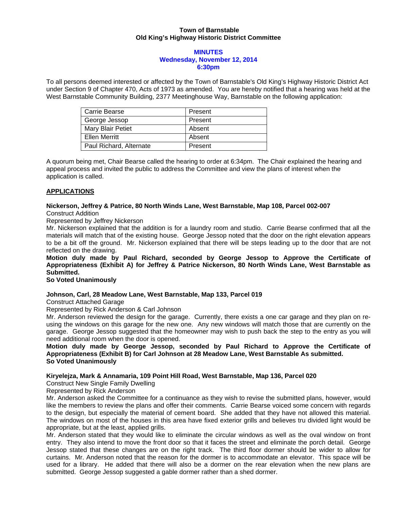# **Town of Barnstable Old King's Highway Historic District Committee**

#### **MINUTES Wednesday, November 12, 2014 6:30pm**

To all persons deemed interested or affected by the Town of Barnstable's Old King's Highway Historic District Act under Section 9 of Chapter 470, Acts of 1973 as amended. You are hereby notified that a hearing was held at the West Barnstable Community Building, 2377 Meetinghouse Way, Barnstable on the following application:

| Carrie Bearse           | Present |
|-------------------------|---------|
| George Jessop           | Present |
| Mary Blair Petiet       | Absent  |
| <b>Ellen Merritt</b>    | Absent  |
| Paul Richard, Alternate | Present |

A quorum being met, Chair Bearse called the hearing to order at 6:34pm. The Chair explained the hearing and appeal process and invited the public to address the Committee and view the plans of interest when the application is called.

# **APPLICATIONS**

#### **Nickerson, Jeffrey & Patrice, 80 North Winds Lane, West Barnstable, Map 108, Parcel 002-007**  Construct Addition

Represented by Jeffrey Nickerson

Mr. Nickerson explained that the addition is for a laundry room and studio. Carrie Bearse confirmed that all the materials will match that of the existing house. George Jessop noted that the door on the right elevation appears to be a bit off the ground. Mr. Nickerson explained that there will be steps leading up to the door that are not reflected on the drawing.

**Motion duly made by Paul Richard, seconded by George Jessop to Approve the Certificate of Appropriateness (Exhibit A) for Jeffrey & Patrice Nickerson, 80 North Winds Lane, West Barnstable as Submitted.** 

# **So Voted Unanimously**

## **Johnson, Carl, 28 Meadow Lane, West Barnstable, Map 133, Parcel 019**

Construct Attached Garage

Represented by Rick Anderson & Carl Johnson

Mr. Anderson reviewed the design for the garage. Currently, there exists a one car garage and they plan on reusing the windows on this garage for the new one. Any new windows will match those that are currently on the garage. George Jessop suggested that the homeowner may wish to push back the step to the entry as you will need additional room when the door is opened.

**Motion duly made by George Jessop, seconded by Paul Richard to Approve the Certificate of Appropriateness (Exhibit B) for Carl Johnson at 28 Meadow Lane, West Barnstable As submitted. So Voted Unanimously** 

## **Kiryelejza, Mark & Annamaria, 109 Point Hill Road, West Barnstable, Map 136, Parcel 020**

Construct New Single Family Dwelling

Represented by Rick Anderson

Mr. Anderson asked the Committee for a continuance as they wish to revise the submitted plans, however, would like the members to review the plans and offer their comments. Carrie Bearse voiced some concern with regards to the design, but especially the material of cement board. She added that they have not allowed this material. The windows on most of the houses in this area have fixed exterior grills and believes tru divided light would be appropriate, but at the least, applied grills.

Mr. Anderson stated that they would like to eliminate the circular windows as well as the oval window on front entry. They also intend to move the front door so that it faces the street and eliminate the porch detail. George Jessop stated that these changes are on the right track. The third floor dormer should be wider to allow for curtains. Mr. Anderson noted that the reason for the dormer is to accommodate an elevator. This space will be used for a library. He added that there will also be a dormer on the rear elevation when the new plans are submitted. George Jessop suggested a gable dormer rather than a shed dormer.